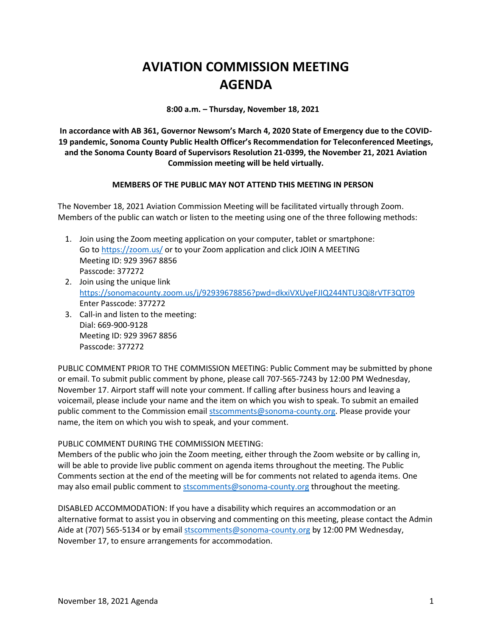## **AVIATION COMMISSION MEETING AGENDA**

**8:00 a.m. – Thursday, November 18, 2021**

**In accordance with AB 361, Governor Newsom's March 4, 2020 State of Emergency due to the COVID-19 pandemic, Sonoma County Public Health Officer's Recommendation for Teleconferenced Meetings, and the Sonoma County Board of Supervisors Resolution 21-0399, the November 21, 2021 Aviation Commission meeting will be held virtually.**

## **MEMBERS OF THE PUBLIC MAY NOT ATTEND THIS MEETING IN PERSON**

The November 18, 2021 Aviation Commission Meeting will be facilitated virtually through Zoom. Members of the public can watch or listen to the meeting using one of the three following methods:

- 1. Join using the Zoom meeting application on your computer, tablet or smartphone: Go to<https://zoom.us/> or to your Zoom application and click JOIN A MEETING Meeting ID: 929 3967 8856 Passcode: 377272
- 2. Join using the unique link <https://sonomacounty.zoom.us/j/92939678856?pwd=dkxiVXUyeFJIQ244NTU3Qi8rVTF3QT09> Enter Passcode: 377272
- 3. Call-in and listen to the meeting: Dial: 669-900-9128 Meeting ID: 929 3967 8856 Passcode: 377272

PUBLIC COMMENT PRIOR TO THE COMMISSION MEETING: Public Comment may be submitted by phone or email. To submit public comment by phone, please call 707-565-7243 by 12:00 PM Wednesday, November 17. Airport staff will note your comment. If calling after business hours and leaving a voicemail, please include your name and the item on which you wish to speak. To submit an emailed public comment to the Commission emai[l stscomments@sonoma-county.org.](mailto:stscomments@sonoma-county.org) Please provide your name, the item on which you wish to speak, and your comment.

## PUBLIC COMMENT DURING THE COMMISSION MEETING:

Members of the public who join the Zoom meeting, either through the Zoom website or by calling in, will be able to provide live public comment on agenda items throughout the meeting. The Public Comments section at the end of the meeting will be for comments not related to agenda items. One may also email public comment to [stscomments@sonoma-county.org](mailto:stscomments@sonoma-county.org) throughout the meeting.

DISABLED ACCOMMODATION: If you have a disability which requires an accommodation or an alternative format to assist you in observing and commenting on this meeting, please contact the Admin Aide at (707) 565-5134 or by emai[l stscomments@sonoma-county.org](mailto:stscomments@sonoma-county.org) by 12:00 PM Wednesday, November 17, to ensure arrangements for accommodation.